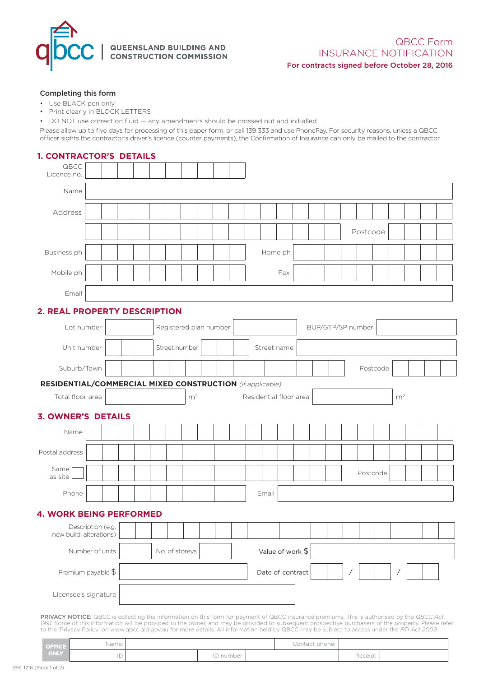

QUEENSLAND BUILDING AND CONSTRUCTION COMMISSION

#### QBCC Form INSURANCE NOTIFICATION For contracts signed before October 28, 2016

#### Completing this form

- Use BLACK pen only
- Print clearly in BLOCK LETTERS
- DO NOT use correction fluid any amendments should be crossed out and initialled

Please allow up to five days for processing of this paper form, or call 139 333 and use PhonePay. For security reasons, unless a QBCC officer sights the contractor's driver's licence (counter payments), the Confirmation of Insurance can only be mailed to the contractor.

| <b>1. CONTRACTOR'S DETAILS</b>                                                 |  |  |                                    |                        |  |               |  |  |  |  |  |         |             |                   |  |  |  |          |          |  |  |  |
|--------------------------------------------------------------------------------|--|--|------------------------------------|------------------------|--|---------------|--|--|--|--|--|---------|-------------|-------------------|--|--|--|----------|----------|--|--|--|
| QBCC<br>Licence no.                                                            |  |  |                                    |                        |  |               |  |  |  |  |  |         |             |                   |  |  |  |          |          |  |  |  |
| Name                                                                           |  |  |                                    |                        |  |               |  |  |  |  |  |         |             |                   |  |  |  |          |          |  |  |  |
| Address                                                                        |  |  |                                    |                        |  |               |  |  |  |  |  |         |             |                   |  |  |  |          |          |  |  |  |
|                                                                                |  |  |                                    |                        |  |               |  |  |  |  |  |         |             |                   |  |  |  | Postcode |          |  |  |  |
| Business ph                                                                    |  |  |                                    |                        |  |               |  |  |  |  |  | Home ph |             |                   |  |  |  |          |          |  |  |  |
| Mobile ph                                                                      |  |  |                                    |                        |  |               |  |  |  |  |  |         | Fax         |                   |  |  |  |          |          |  |  |  |
| Email                                                                          |  |  |                                    |                        |  |               |  |  |  |  |  |         |             |                   |  |  |  |          |          |  |  |  |
| 2. REAL PROPERTY DESCRIPTION                                                   |  |  |                                    |                        |  |               |  |  |  |  |  |         |             |                   |  |  |  |          |          |  |  |  |
| Lot number                                                                     |  |  |                                    | Registered plan number |  |               |  |  |  |  |  |         |             | BUP/GTP/SP number |  |  |  |          |          |  |  |  |
| Unit number                                                                    |  |  |                                    |                        |  | Street number |  |  |  |  |  |         | Street name |                   |  |  |  |          |          |  |  |  |
| Suburb/Town                                                                    |  |  |                                    |                        |  |               |  |  |  |  |  |         |             |                   |  |  |  |          | Postcode |  |  |  |
| <b>RESIDENTIAL/COMMERCIAL MIXED CONSTRUCTION</b> (if applicable)               |  |  |                                    |                        |  |               |  |  |  |  |  |         |             |                   |  |  |  |          |          |  |  |  |
| m <sup>2</sup><br>Total floor area<br>m <sup>2</sup><br>Residential floor area |  |  |                                    |                        |  |               |  |  |  |  |  |         |             |                   |  |  |  |          |          |  |  |  |
| <b>3. OWNER'S DETAILS</b>                                                      |  |  |                                    |                        |  |               |  |  |  |  |  |         |             |                   |  |  |  |          |          |  |  |  |
| Name                                                                           |  |  |                                    |                        |  |               |  |  |  |  |  |         |             |                   |  |  |  |          |          |  |  |  |
| Postal address                                                                 |  |  |                                    |                        |  |               |  |  |  |  |  |         |             |                   |  |  |  |          |          |  |  |  |
| Same<br>as site                                                                |  |  |                                    |                        |  |               |  |  |  |  |  |         |             |                   |  |  |  | Postcode |          |  |  |  |
| Phone                                                                          |  |  |                                    |                        |  |               |  |  |  |  |  | Email   |             |                   |  |  |  |          |          |  |  |  |
| <b>4. WORK BEING PERFORMED</b>                                                 |  |  |                                    |                        |  |               |  |  |  |  |  |         |             |                   |  |  |  |          |          |  |  |  |
| Description (e.g.<br>new build, alterations)                                   |  |  |                                    |                        |  |               |  |  |  |  |  |         |             |                   |  |  |  |          |          |  |  |  |
| Number of units                                                                |  |  | No. of storeys<br>Value of work \$ |                        |  |               |  |  |  |  |  |         |             |                   |  |  |  |          |          |  |  |  |
| Premium payable \$                                                             |  |  | Date of contract                   |                        |  |               |  |  |  |  |  |         |             |                   |  |  |  |          |          |  |  |  |
| Licensee's signature                                                           |  |  |                                    |                        |  |               |  |  |  |  |  |         |             |                   |  |  |  |          |          |  |  |  |

PRIVACY NOTICE: QBCC is collecting the information on this form for payment of QBCC insurance premiums. This is authorised by the *QBCC Act 1991*. Some of this information will be provided to the owner, and may be provided to subsequent prospective purchasers of the property. Please refer to the 'Privacy Policy' on www.qbcc.qld.gov.au for more details. All information held by QBCC may be subject to access under the *RTI Act 2009*.

| <b>OFFICE</b> | Name:                    |           | Contact phone: |         |  |
|---------------|--------------------------|-----------|----------------|---------|--|
| ONLY          | $\overline{\phantom{a}}$ | ID number |                | Receipt |  |